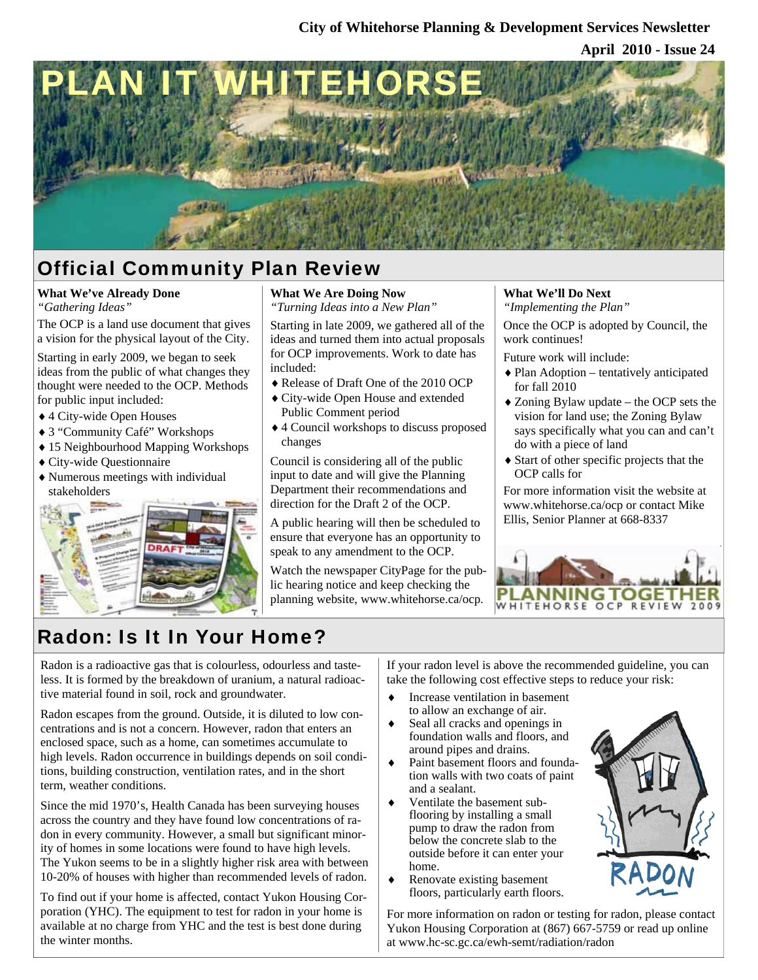**April 2010 - Issue 24**



## Official Community Plan Review

## **What We've Already Done**

*"Gathering Ideas"* 

The OCP is a land use document that gives a vision for the physical layout of the City.

Starting in early 2009, we began to seek ideas from the public of what changes they thought were needed to the OCP. Methods for public input included:

- ♦ 4 City-wide Open Houses
- ♦ 3 "Community Café" Workshops
- ♦ 15 Neighbourhood Mapping Workshops
- ♦ City-wide Questionnaire
- ♦ Numerous meetings with individual stakeholders



#### **What We Are Doing Now**

*"Turning Ideas into a New Plan"* 

Starting in late 2009, we gathered all of the ideas and turned them into actual proposals for OCP improvements. Work to date has included:

- ♦ Release of Draft One of the 2010 OCP
- ♦ City-wide Open House and extended Public Comment period
- ♦ 4 Council workshops to discuss proposed changes

Council is considering all of the public input to date and will give the Planning Department their recommendations and direction for the Draft 2 of the OCP.

A public hearing will then be scheduled to ensure that everyone has an opportunity to speak to any amendment to the OCP.

Watch the newspaper CityPage for the public hearing notice and keep checking the planning website, www.whitehorse.ca/ocp.

## **What We'll Do Next**

*"Implementing the Plan"* 

Once the OCP is adopted by Council, the work continues!

Future work will include:

- ♦ Plan Adoption tentatively anticipated for fall 2010
- ♦ Zoning Bylaw update the OCP sets the vision for land use; the Zoning Bylaw says specifically what you can and can't do with a piece of land
- ♦ Start of other specific projects that the OCP calls for

For more information visit the website at www.whitehorse.ca/ocp or contact Mike Ellis, Senior Planner at 668-8337



## Radon: Is It In Your Home?

Radon is a radioactive gas that is colourless, odourless and tasteless. It is formed by the breakdown of uranium, a natural radioactive material found in soil, rock and groundwater.

Radon escapes from the ground. Outside, it is diluted to low concentrations and is not a concern. However, radon that enters an enclosed space, such as a home, can sometimes accumulate to high levels. Radon occurrence in buildings depends on soil conditions, building construction, ventilation rates, and in the short term, weather conditions.

Since the mid 1970's, Health Canada has been surveying houses across the country and they have found low concentrations of radon in every community. However, a small but significant minority of homes in some locations were found to have high levels. The Yukon seems to be in a slightly higher risk area with between 10-20% of houses with higher than recommended levels of radon.

To find out if your home is affected, contact Yukon Housing Corporation (YHC). The equipment to test for radon in your home is available at no charge from YHC and the test is best done during the winter months.

If your radon level is above the recommended guideline, you can take the following cost effective steps to reduce your risk:

- ♦ Increase ventilation in basement to allow an exchange of air.
- Seal all cracks and openings in foundation walls and floors, and around pipes and drains.
- ♦ Paint basement floors and foundation walls with two coats of paint and a sealant.
- ♦ Ventilate the basement subflooring by installing a small pump to draw the radon from below the concrete slab to the outside before it can enter your home.
- ♦ Renovate existing basement floors, particularly earth floors.

For more information on radon or testing for radon, please contact Yukon Housing Corporation at (867) 667-5759 or read up online at www.hc-sc.gc.ca/ewh-semt/radiation/radon